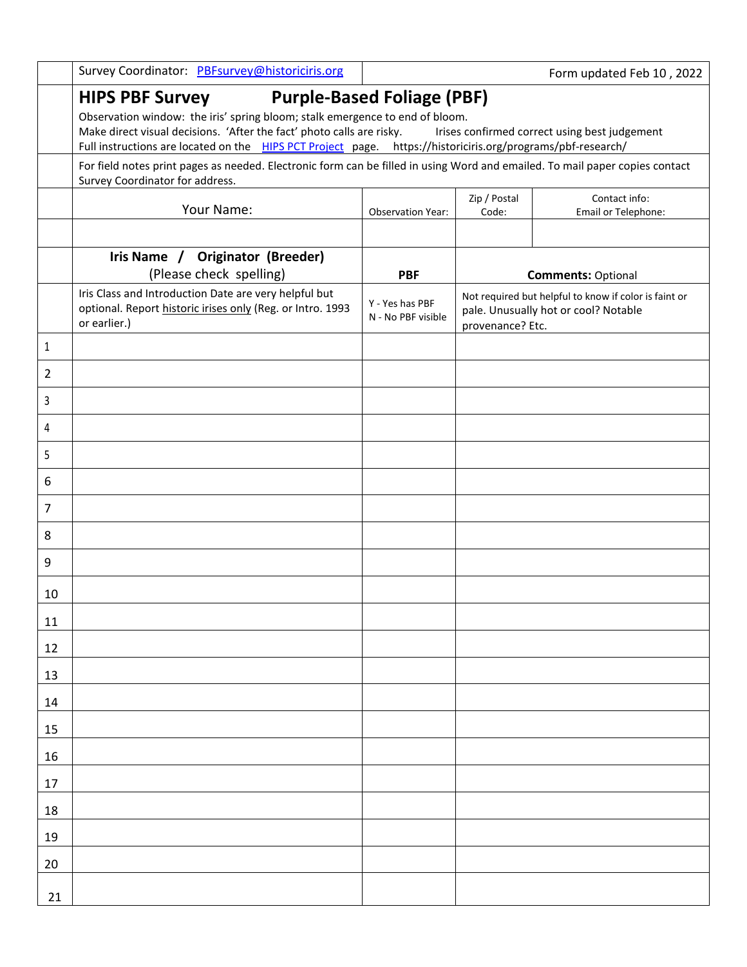|                | Survey Coordinator: PBFsurvey@historiciris.org                                                                                                                                                                                                                                                 |                                       |                       | Form updated Feb 10, 2022                                                                     |
|----------------|------------------------------------------------------------------------------------------------------------------------------------------------------------------------------------------------------------------------------------------------------------------------------------------------|---------------------------------------|-----------------------|-----------------------------------------------------------------------------------------------|
|                | <b>HIPS PBF Survey</b><br>Observation window: the iris' spring bloom; stalk emergence to end of bloom.<br>Make direct visual decisions. 'After the fact' photo calls are risky.<br>Full instructions are located on the HIPS PCT Project page. https://historiciris.org/programs/pbf-research/ | <b>Purple-Based Foliage (PBF)</b>     |                       | Irises confirmed correct using best judgement                                                 |
|                | For field notes print pages as needed. Electronic form can be filled in using Word and emailed. To mail paper copies contact<br>Survey Coordinator for address.                                                                                                                                |                                       |                       |                                                                                               |
|                | Your Name:                                                                                                                                                                                                                                                                                     | <b>Observation Year:</b>              | Zip / Postal<br>Code: | Contact info:<br>Email or Telephone:                                                          |
|                |                                                                                                                                                                                                                                                                                                |                                       |                       |                                                                                               |
|                | Iris Name / Originator (Breeder)<br>(Please check spelling)                                                                                                                                                                                                                                    | <b>PBF</b>                            |                       | <b>Comments: Optional</b>                                                                     |
|                | Iris Class and Introduction Date are very helpful but<br>optional. Report historic irises only (Reg. or Intro. 1993<br>or earlier.)                                                                                                                                                            | Y - Yes has PBF<br>N - No PBF visible | provenance? Etc.      | Not required but helpful to know if color is faint or<br>pale. Unusually hot or cool? Notable |
| 1              |                                                                                                                                                                                                                                                                                                |                                       |                       |                                                                                               |
| $\overline{2}$ |                                                                                                                                                                                                                                                                                                |                                       |                       |                                                                                               |
| 3              |                                                                                                                                                                                                                                                                                                |                                       |                       |                                                                                               |
| 4              |                                                                                                                                                                                                                                                                                                |                                       |                       |                                                                                               |
| 5              |                                                                                                                                                                                                                                                                                                |                                       |                       |                                                                                               |
| 6              |                                                                                                                                                                                                                                                                                                |                                       |                       |                                                                                               |
| $\overline{7}$ |                                                                                                                                                                                                                                                                                                |                                       |                       |                                                                                               |
| 8              |                                                                                                                                                                                                                                                                                                |                                       |                       |                                                                                               |
| 9              |                                                                                                                                                                                                                                                                                                |                                       |                       |                                                                                               |
| 10             |                                                                                                                                                                                                                                                                                                |                                       |                       |                                                                                               |
| 11             |                                                                                                                                                                                                                                                                                                |                                       |                       |                                                                                               |
| 12             |                                                                                                                                                                                                                                                                                                |                                       |                       |                                                                                               |
| 13             |                                                                                                                                                                                                                                                                                                |                                       |                       |                                                                                               |
| 14             |                                                                                                                                                                                                                                                                                                |                                       |                       |                                                                                               |
| 15             |                                                                                                                                                                                                                                                                                                |                                       |                       |                                                                                               |
| 16             |                                                                                                                                                                                                                                                                                                |                                       |                       |                                                                                               |
| 17             |                                                                                                                                                                                                                                                                                                |                                       |                       |                                                                                               |
| 18             |                                                                                                                                                                                                                                                                                                |                                       |                       |                                                                                               |
| 19             |                                                                                                                                                                                                                                                                                                |                                       |                       |                                                                                               |
| 20             |                                                                                                                                                                                                                                                                                                |                                       |                       |                                                                                               |
| 21             |                                                                                                                                                                                                                                                                                                |                                       |                       |                                                                                               |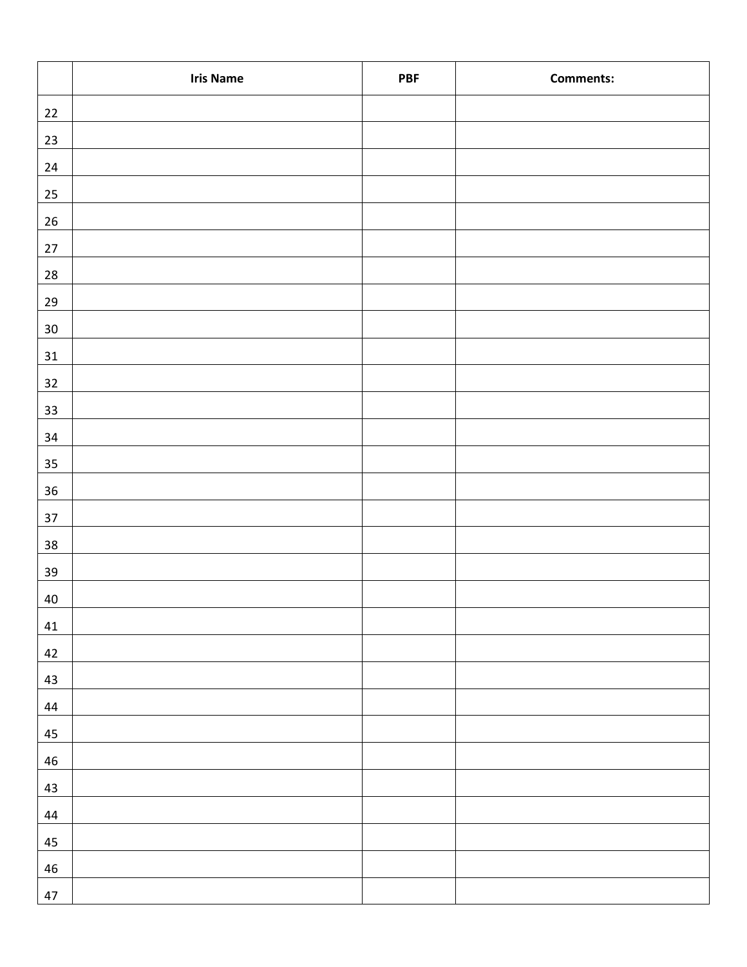|            | <b>Iris Name</b> | <b>PBF</b> | <b>Comments:</b> |
|------------|------------------|------------|------------------|
| $22\,$     |                  |            |                  |
| 23         |                  |            |                  |
| $24\,$     |                  |            |                  |
| $25\,$     |                  |            |                  |
| $26\,$     |                  |            |                  |
| $27\,$     |                  |            |                  |
| ${\bf 28}$ |                  |            |                  |
| $29\,$     |                  |            |                  |
| $30\,$     |                  |            |                  |
| $31\,$     |                  |            |                  |
| 32         |                  |            |                  |
| 33         |                  |            |                  |
| $34\,$     |                  |            |                  |
| 35         |                  |            |                  |
| $36\,$     |                  |            |                  |
| $37\,$     |                  |            |                  |
| 38         |                  |            |                  |
| $39\,$     |                  |            |                  |
| 40         |                  |            |                  |
| $41\,$     |                  |            |                  |
| 42         |                  |            |                  |
| 43         |                  |            |                  |
| $44\,$     |                  |            |                  |
| 45         |                  |            |                  |
| 46         |                  |            |                  |
| 43         |                  |            |                  |
| 44         |                  |            |                  |
| 45         |                  |            |                  |
| ${\bf 46}$ |                  |            |                  |
| 47         |                  |            |                  |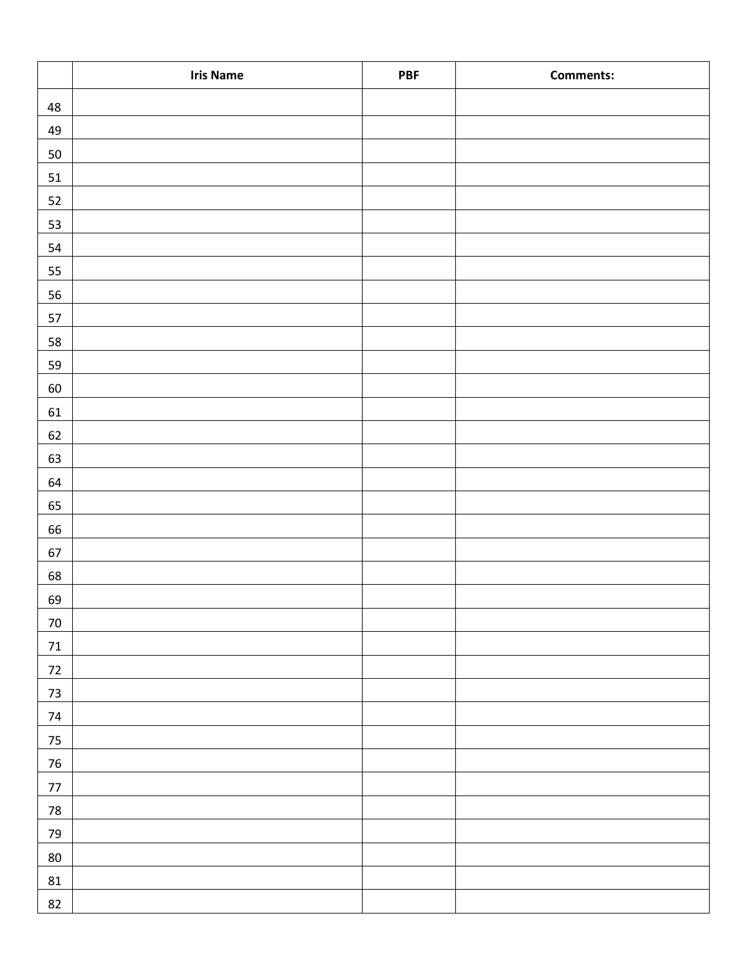|            | <b>Iris Name</b> | PBF | <b>Comments:</b> |
|------------|------------------|-----|------------------|
| 48         |                  |     |                  |
| 49         |                  |     |                  |
| 50         |                  |     |                  |
| $51\,$     |                  |     |                  |
| 52         |                  |     |                  |
| 53         |                  |     |                  |
| 54         |                  |     |                  |
| 55         |                  |     |                  |
| 56         |                  |     |                  |
| 57         |                  |     |                  |
| 58         |                  |     |                  |
| 59         |                  |     |                  |
| $60\,$     |                  |     |                  |
| 61         |                  |     |                  |
| 62         |                  |     |                  |
| 63         |                  |     |                  |
| 64         |                  |     |                  |
| 65         |                  |     |                  |
| 66         |                  |     |                  |
| 67         |                  |     |                  |
| 68         |                  |     |                  |
| 69         |                  |     |                  |
| $70\,$     |                  |     |                  |
| $71\,$     |                  |     |                  |
| $72\,$     |                  |     |                  |
| $73\,$     |                  |     |                  |
| $74\,$     |                  |     |                  |
| $75\,$     |                  |     |                  |
| 76         |                  |     |                  |
| $77\,$     |                  |     |                  |
| ${\bf 78}$ |                  |     |                  |
| 79         |                  |     |                  |
| 80         |                  |     |                  |
| 81         |                  |     |                  |
| 82         |                  |     |                  |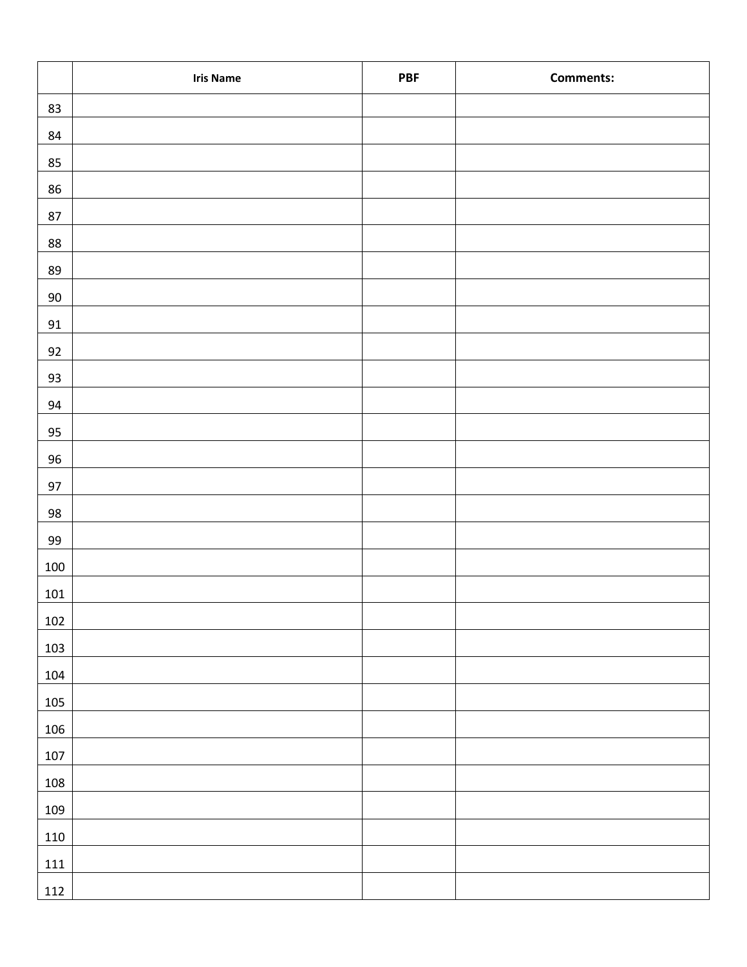|         | <b>Iris Name</b> | <b>PBF</b> | <b>Comments:</b> |
|---------|------------------|------------|------------------|
| 83      |                  |            |                  |
| $84\,$  |                  |            |                  |
| 85      |                  |            |                  |
| 86      |                  |            |                  |
| $87\,$  |                  |            |                  |
| 88      |                  |            |                  |
| 89      |                  |            |                  |
| $90\,$  |                  |            |                  |
| $91\,$  |                  |            |                  |
| 92      |                  |            |                  |
| 93      |                  |            |                  |
| 94      |                  |            |                  |
| 95      |                  |            |                  |
| $96\,$  |                  |            |                  |
| 97      |                  |            |                  |
| 98      |                  |            |                  |
| 99      |                  |            |                  |
| 100     |                  |            |                  |
| 101     |                  |            |                  |
| 102     |                  |            |                  |
| 103     |                  |            |                  |
| 104     |                  |            |                  |
| 105     |                  |            |                  |
| 106     |                  |            |                  |
| 107     |                  |            |                  |
| 108     |                  |            |                  |
| 109     |                  |            |                  |
| 110     |                  |            |                  |
| $111\,$ |                  |            |                  |
| 112     |                  |            |                  |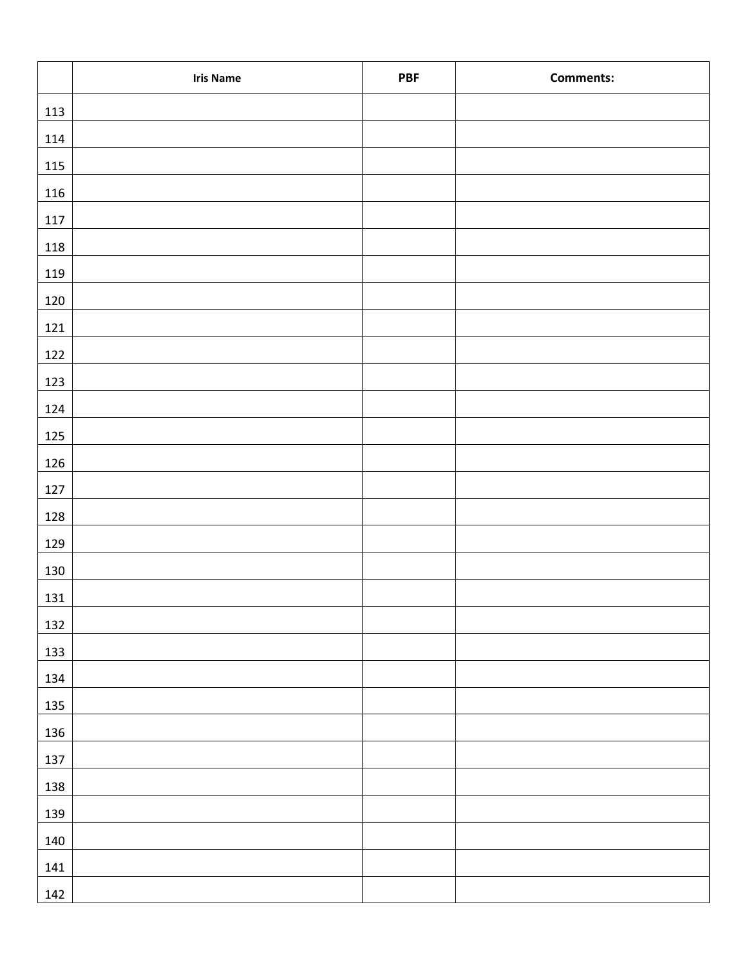|         | <b>Iris Name</b> | <b>PBF</b> | <b>Comments:</b> |
|---------|------------------|------------|------------------|
| 113     |                  |            |                  |
| 114     |                  |            |                  |
| $115\,$ |                  |            |                  |
| 116     |                  |            |                  |
| 117     |                  |            |                  |
| 118     |                  |            |                  |
| 119     |                  |            |                  |
| 120     |                  |            |                  |
| 121     |                  |            |                  |
| 122     |                  |            |                  |
| 123     |                  |            |                  |
| 124     |                  |            |                  |
| 125     |                  |            |                  |
| 126     |                  |            |                  |
| $127\,$ |                  |            |                  |
| 128     |                  |            |                  |
| 129     |                  |            |                  |
| 130     |                  |            |                  |
| 131     |                  |            |                  |
| 132     |                  |            |                  |
| 133     |                  |            |                  |
| 134     |                  |            |                  |
| 135     |                  |            |                  |
| 136     |                  |            |                  |
| 137     |                  |            |                  |
| 138     |                  |            |                  |
| 139     |                  |            |                  |
| 140     |                  |            |                  |
| 141     |                  |            |                  |
| 142     |                  |            |                  |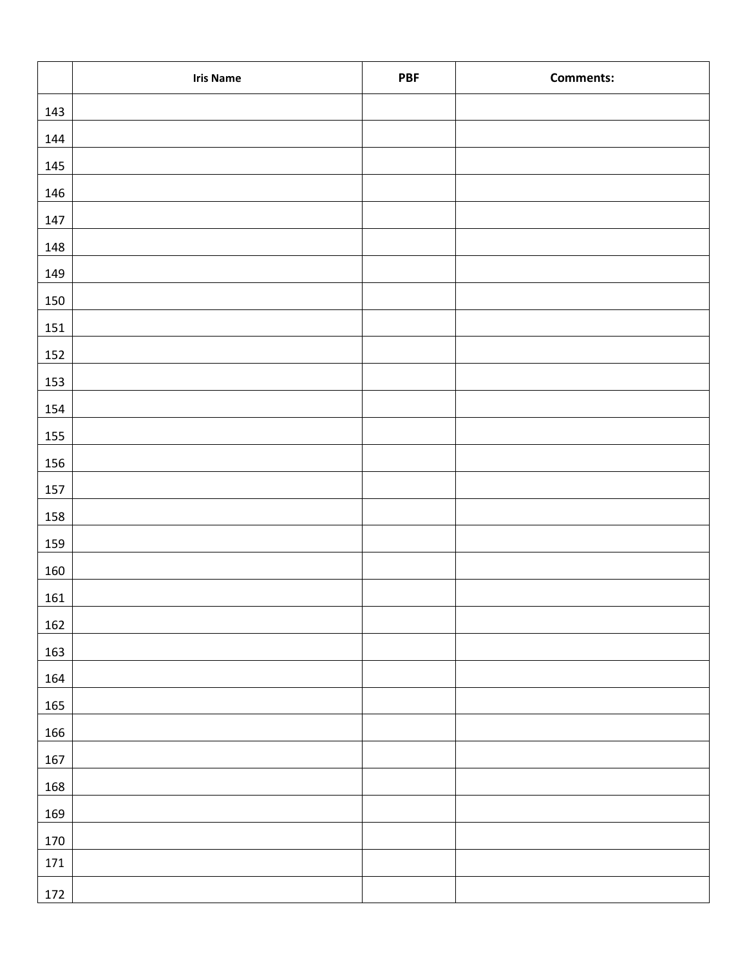|         | <b>Iris Name</b> | PBF | <b>Comments:</b> |
|---------|------------------|-----|------------------|
| 143     |                  |     |                  |
| 144     |                  |     |                  |
| 145     |                  |     |                  |
| 146     |                  |     |                  |
| 147     |                  |     |                  |
| 148     |                  |     |                  |
| 149     |                  |     |                  |
| $150\,$ |                  |     |                  |
| 151     |                  |     |                  |
| 152     |                  |     |                  |
| 153     |                  |     |                  |
| 154     |                  |     |                  |
| 155     |                  |     |                  |
| 156     |                  |     |                  |
| 157     |                  |     |                  |
| 158     |                  |     |                  |
| 159     |                  |     |                  |
| $160\,$ |                  |     |                  |
| 161     |                  |     |                  |
| 162     |                  |     |                  |
| 163     |                  |     |                  |
| 164     |                  |     |                  |
| 165     |                  |     |                  |
| 166     |                  |     |                  |
| 167     |                  |     |                  |
| 168     |                  |     |                  |
| 169     |                  |     |                  |
| 170     |                  |     |                  |
| 171     |                  |     |                  |
| 172     |                  |     |                  |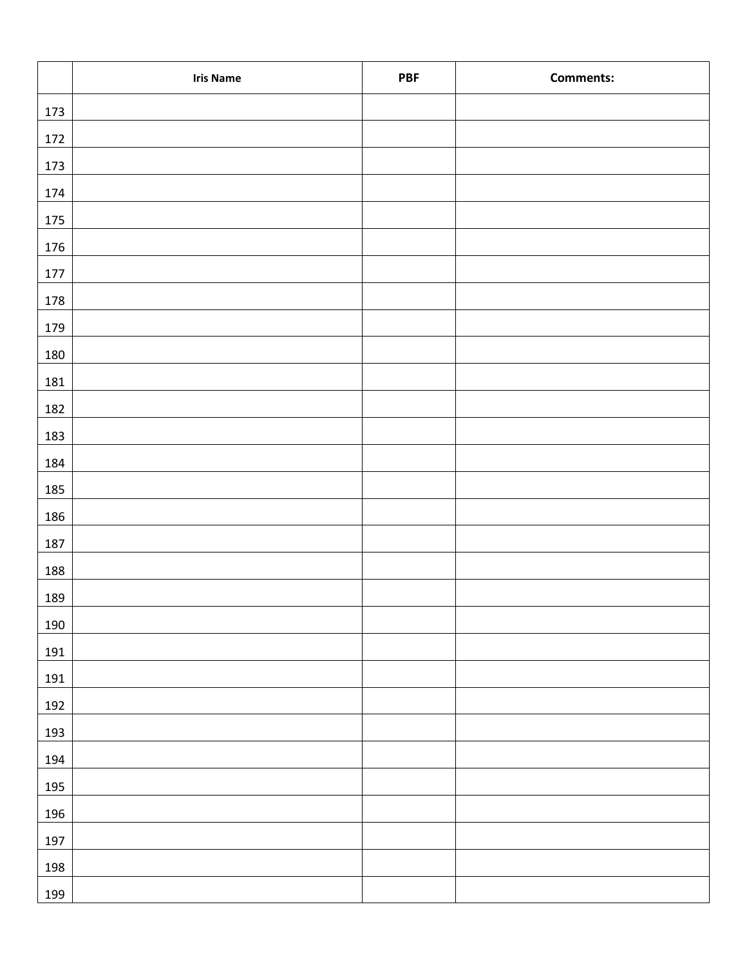|         | <b>Iris Name</b> | <b>PBF</b> | <b>Comments:</b> |
|---------|------------------|------------|------------------|
| 173     |                  |            |                  |
| 172     |                  |            |                  |
| 173     |                  |            |                  |
| 174     |                  |            |                  |
| 175     |                  |            |                  |
| 176     |                  |            |                  |
| $177\,$ |                  |            |                  |
| 178     |                  |            |                  |
| 179     |                  |            |                  |
| 180     |                  |            |                  |
| 181     |                  |            |                  |
| 182     |                  |            |                  |
| 183     |                  |            |                  |
| 184     |                  |            |                  |
| 185     |                  |            |                  |
| 186     |                  |            |                  |
| 187     |                  |            |                  |
| 188     |                  |            |                  |
| 189     |                  |            |                  |
| 190     |                  |            |                  |
| 191     |                  |            |                  |
| 191     |                  |            |                  |
| 192     |                  |            |                  |
| 193     |                  |            |                  |
| 194     |                  |            |                  |
| 195     |                  |            |                  |
| 196     |                  |            |                  |
| 197     |                  |            |                  |
| 198     |                  |            |                  |
| 199     |                  |            |                  |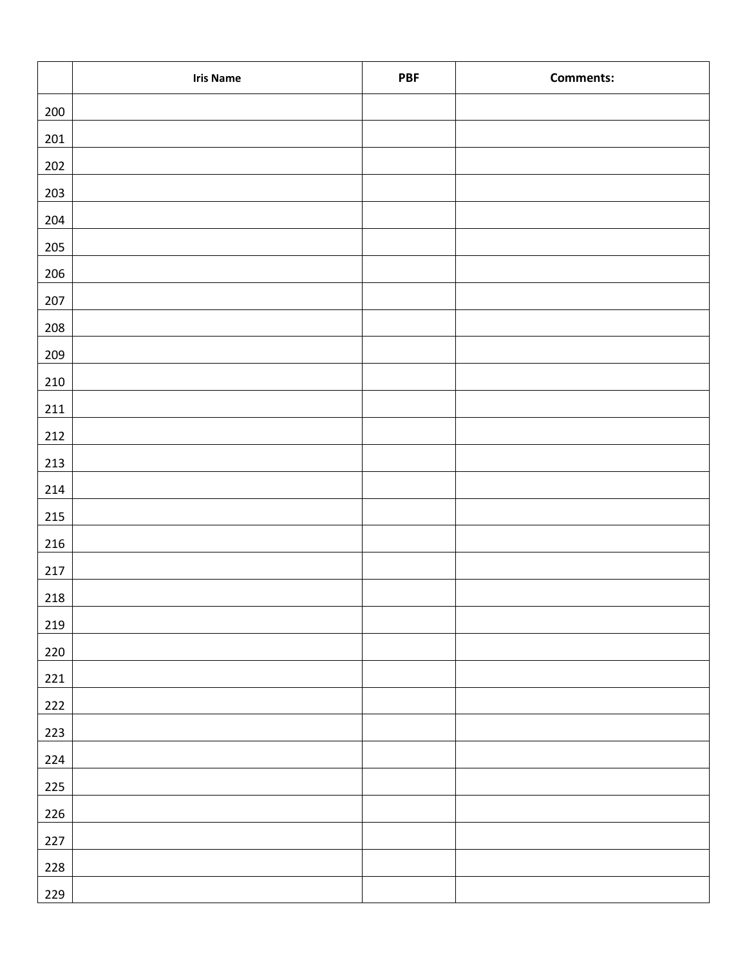|         | <b>Iris Name</b> | <b>PBF</b> | <b>Comments:</b> |
|---------|------------------|------------|------------------|
| $200\,$ |                  |            |                  |
| $201\,$ |                  |            |                  |
| $202\,$ |                  |            |                  |
| 203     |                  |            |                  |
| 204     |                  |            |                  |
| $205\,$ |                  |            |                  |
| 206     |                  |            |                  |
| 207     |                  |            |                  |
| 208     |                  |            |                  |
| 209     |                  |            |                  |
| $210\,$ |                  |            |                  |
| $211\,$ |                  |            |                  |
| 212     |                  |            |                  |
| $213\,$ |                  |            |                  |
| 214     |                  |            |                  |
| $215$   |                  |            |                  |
| 216     |                  |            |                  |
| $217\,$ |                  |            |                  |
| $218\,$ |                  |            |                  |
| 219     |                  |            |                  |
| 220     |                  |            |                  |
| $221\,$ |                  |            |                  |
| 222     |                  |            |                  |
| 223     |                  |            |                  |
| 224     |                  |            |                  |
| 225     |                  |            |                  |
| 226     |                  |            |                  |
| 227     |                  |            |                  |
| 228     |                  |            |                  |
| 229     |                  |            |                  |